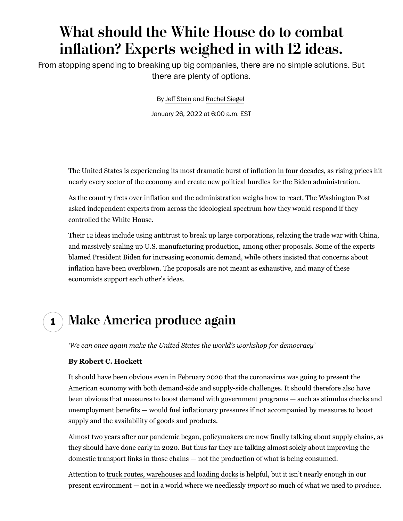## **What should the White House do to combat infation? Experts weighed in with 12 ideas.**

From stopping spending to breaking up big companies, there are no simple solutions. But there are plenty of options.

By Jeff Stein and [Rachel Siegel](http://www.washingtonpost.com/people/rachel-siegel/)

January 26, 2022 at 6:00 a.m. EST

The United States is experiencing its most dramatic burst of inflation [in four decades,](https://www.washingtonpost.com/business/2022/01/12/december-cpi-inflation/?itid=lk_inline_manual_2) as rising prices hit nearly every sector of the economy and create new political hurdles for the Biden administration.

As the country frets over inflation and the administration weighs how to react, The Washington Post asked independent experts from across the ideological spectrum how they would respond if they controlled the White House.

Their 12 ideas include using antitrust to break up large corporations, relaxing the trade war with China, and massively scaling up U.S. manufacturing production, among other proposals. Some of the experts blamed President Biden for increasing economic demand, while others insisted that concerns about inflation have been overblown. The proposals are not meant as exhaustive, and many of these economists support each other's ideas.

### **1 Make America produce again**

*'We can once again make the United States the world's workshop for democracy'*

#### **By Robert C. Hockett**

It should have been obvious even in February 2020 that the [coronavirus](https://www.washingtonpost.com/coronavirus/?itid=lk_inline_manual_10) was going to present the American economy with both demand-side and supply-side challenges. It should therefore also have been obvious that measures to boost demand with government programs — such as stimulus checks and unemployment benefits — would fuel inflationary pressures if not accompanied by measures to boost supply and the availability of goods and products.

Almost two years after our pandemic began, policymakers are now finally [talking about supply chains,](https://www.mckinsey.com/business-functions/operations/our-insights/how-covid-19-is-reshaping-supply-chains) as they should have done early in 2020. But thus far they are talking almost solely about improving the domestic transport links in those chains — not the production of what is being consumed.

Attention to [truck routes, warehouses and loading docks](https://www.cfr.org/article/what-happened-supply-chains-2021?gclid=CjwKCAiAz--OBhBIEiwAG1rIOsw3p_S11YfaUVUNxi3VdG0MUItuM7oa77MdawQTuw3F0BKfoQdYihoCo08QAvD_BwE) is helpful, but it isn't nearly enough in our present environment — not in a world where we needlessly *import* so much of what we used to *produce*.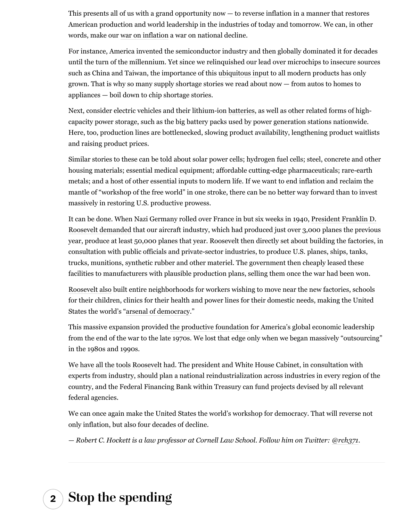This presents all of us with a grand opportunity now — to reverse inflation in a manner that restores American production and world leadership in the industries of today and tomorrow. We can, in other words, make our [war on inflation](https://www.forbes.com/sites/rhockett/2021/11/12/war-on-inflation-part-1-the-lesson-of-world-war-ii/?sh=226337a03920) a war on national decline.

For instance, America invented the semiconductor industry and then globally dominated it for decades until the turn of the millennium. Yet since we relinquished our lead over microchips to insecure sources such as China and Taiwan, the importance of this [ubiquitous input](https://www.forbes.com/sites/rhockett/2021/11/14/war-on-inflation-part-2-restoring-leadership-in-semiconductor-production/?sh=6a94630a204e) to all modern products has only grown. That is why so many supply shortage stories we read about now — from autos to homes to appliances — boil down to chip shortage stories.

Next, consider electric vehicles and their lithium-ion [batteries](https://www.forbes.com/sites/rhockett/2021/11/15/war-on-inflation-part-3-resuming-leadership-in-high-capacity-battery-manufacture/?sh=2ba9148d4d7f), as well as other related forms of highcapacity power storage, such as the big battery packs used by power generation stations nationwide. Here, too, production lines are bottlenecked, slowing product availability, lengthening product waitlists and raising product prices.

Similar stories to these can be told about solar power cells; hydrogen fuel cells; steel, concrete and other housing materials; essential medical equipment; affordable cutting-edge pharmaceuticals; rare-earth metals; and a host of other essential inputs to modern life. If we want to end inflation and reclaim the mantle of "workshop of the free world" in one stroke, there can be no better way forward than to invest massively in restoring U.S. productive prowess.

It can be done. When Nazi Germany rolled over France in but six weeks in 1940, [President Franklin D.](https://www.forbes.com/sites/rhockett/2021/11/12/war-on-inflation-part-1-the-lesson-of-world-war-ii/?sh=5b9c08233920) [Roosevelt demanded](https://www.forbes.com/sites/rhockett/2021/11/12/war-on-inflation-part-1-the-lesson-of-world-war-ii/?sh=5b9c08233920) that our aircraft industry, which had produced just over 3,000 planes the previous year, produce at least 50,000 planes that year. Roosevelt then directly set about building the factories, in consultation with public officials and private-sector industries, to produce U.S. planes, ships, tanks, trucks, munitions, synthetic rubber and other materiel. The government then cheaply leased these facilities to manufacturers with plausible production plans, selling them once the war had been won.

[Roosevelt also](https://www.forbes.com/sites/rhockett/2021/11/12/war-on-inflation-part-1-the-lesson-of-world-war-ii/?sh=5b9c08233920) built entire neighborhoods for workers wishing to move near the new factories, schools for their children, clinics for their health and power lines for their domestic needs, making the United States the world's ["arsenal of democracy.](https://www.amazon.com/Arsenal-Democracy-Detroit-Quest-America/dp/0544483871/ref=asc_df_0544483871/?tag=hyprod-20&linkCode=df0&hvadid=312028586631&hvpos=&hvnetw=g&hvrand=5371026855740055639&hvpone=&hvptwo=&hvqmt=&hvdev=c&hvdvcmdl=&hvlocint=&hvlocphy=9067609&hvtargid=pla-465027859346&psc=1)"

This massive expansion provided [the productive foundation](https://www.forbes.com/sites/rhockett/2021/11/12/war-on-inflation-part-1-the-lesson-of-world-war-ii/?sh=5b9c08233920) for America's global economic leadership from the end of the war to the late 1970s. We lost that edge only when we began massively "outsourcing" in the 1980s and 1990s.

[We have all the tools Roosevelt had.](https://www.opendemocracy.net/en/oureconomy/how-joe-biden-can-turbocharge-the-uss-green-transformation/) The president and White House Cabinet, in consultation with experts from industry, should plan a national reindustrialization across industries in every region of the country, and the Federal Financing Bank within Treasury can fund projects devised by all relevant federal agencies.

We can once again make the United States the world's workshop for democracy. That will reverse not only inflation, but also four decades of decline.

*— Robert C. Hockett is a law professor at Cornell Law School. Follow him on Twitter: [@rch371.](https://twitter.com/rch371)*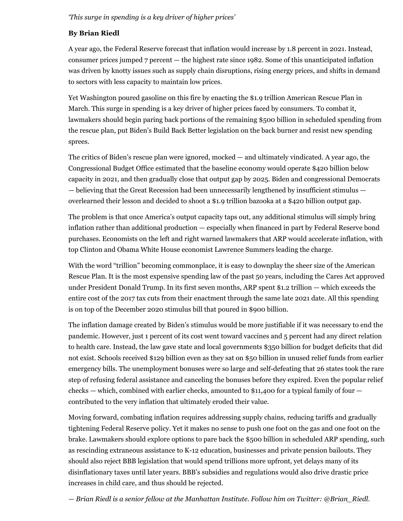#### *'This surge in spending is a key driver of higher prices'*

#### **By Brian Riedl**

A year ago, the Federal Reserve forecast that inflation would increase by 1.8 percent in 2021. Instead, consumer prices jumped 7 percent — the highest rate since 1982. Some of this unanticipated inflation was driven by knotty issues such as supply chain disruptions, rising energy prices, and shifts in demand to sectors with less capacity to maintain low prices.

Yet Washington poured gasoline on this fire by enacting the \$1.9 trillion [American Rescue Plan](https://www.washingtonpost.com/context/the-american-rescue-plan-act-of-2021/c67656e4-bef9-4789-8ca4-396903b94387/?itid=lk_inline_manual_29) in March. This surge in spending is a key driver of higher prices faced by consumers. To combat it, lawmakers should begin paring back portions of the remaining \$500 billion in scheduled spending from the rescue plan, put Biden's Build Back Better legislation on the back burner and resist new spending sprees.

The critics of Biden's rescue plan were ignored, mocked — and ultimately vindicated. A year ago, the Congressional Budget Office [estimated](https://www.cbo.gov/publication/56970) that the baseline economy would operate \$420 billion below capacity in 2021, and then gradually close that output gap by 2025. Biden and congressional Democrats — believing that the Great Recession had been unnecessarily lengthened by insufficient stimulus overlearned their lesson and decided to shoot a \$1.9 trillion bazooka at a \$420 billion output gap.

The problem is that once America's output capacity taps out, any additional stimulus will simply bring inflation rather than additional production — especially when financed in part by Federal Reserve bond purchases. Economists on the left and right warned lawmakers that ARP would accelerate inflation, with top Clinton and Obama White House economist [Lawrence Summers](https://www.washingtonpost.com/opinions/2021/02/04/larry-summers-biden-covid-stimulus/?itid=lk_inline_manual_31) leading the charge.

With the word "trillion" becoming commonplace, it is easy to downplay the sheer size of the American Rescue Plan. It is the [most expensive](https://www.crfb.org/blogs/comparing-cost-build-back-better-other-recent-legislation) spending law of the past 50 years, including the Cares Act approved under President Donald Trump. In its first seven months, ARP spent \$1.2 trillion — which exceeds the [entire cost](https://www.cbo.gov/system/files/2019-04/53651-outlook-2.pdf) of the 2017 tax cuts from their enactment through the same late 2021 date. All this spending is on top of the December 2020 stimulus bill that poured in \$900 billion.

The inflation damage created by Biden's stimulus would be more justifiable if it was necessary to end the pandemic. However, just [1 percent](https://www.crfb.org/blogs/four-key-elements-american-rescue-plan) of its cost went toward vaccines and [5 percent](https://www.crfb.org/blogs/four-key-elements-american-rescue-plan) had any direct relation to health care. Instead, the law gave state and local governments \$350 billion for budget deficits that did not exist. Schools received \$129 billion even as they sat on [\\$50 billion](https://freopp.org/states-have-between-53-and-63-billion-in-unspent-k-12-emergency-education-relief-funds-a971ca1d45ce) in unused relief funds from earlier emergency bills. The unemployment bonuses were so large and self-defeating that [26 states](https://www.usatoday.com/story/money/2021/07/01/unemployment-benefits-covid-federal-aid-ending-early-many-states/7815341002/) took the rare step of refusing federal assistance and canceling the bonuses before they expired. Even the popular relief checks — which, combined with earlier checks, amounted to [\\$11,400](https://www.nationalreview.com/2020/12/the-case-against-2000-dollar-relief-checks/) for a typical family of four contributed to the very inflation that ultimately eroded their value.

Moving forward, combating inflation requires addressing supply chains, reducing tariffs and gradually tightening Federal Reserve policy. Yet it makes no sense to push one foot on the gas and one foot on the brake. Lawmakers should explore options to pare back the \$500 billion in scheduled ARP spending, such as rescinding extraneous assistance to K-12 education, businesses and private pension bailouts. They should also reject BBB legislation that would spend trillions more upfront, yet delays many of its disinflationary taxes until later years. BBB's subsidies and regulations would also drive drastic price increases in [child care](https://www.peoplespolicyproject.org/2021/10/20/democratic-child-care-plan-will-spike-prices-for-the-middle-class-by-13000/), and thus should be rejected.

*— Brian Riedl is a senior fellow at the Manhattan Institute. Follow him on Twitter: [@Brian\\_Riedl](https://twitter.com/Brian_Riedl).*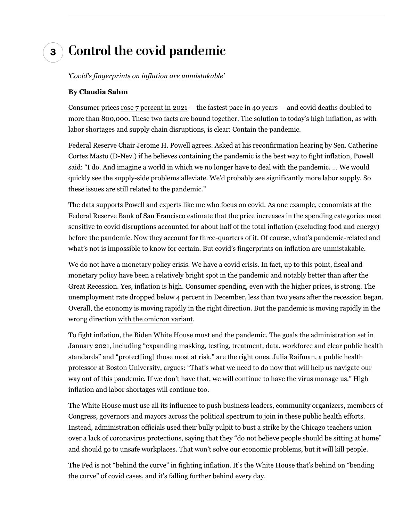### **3 Control the covid pandemic**

*'Covid's fingerprints on inflation are unmistakable'*

#### **By Claudia Sahm**

Consumer prices [rose 7 percent in 2021](https://www.washingtonpost.com/business/2022/01/12/december-cpi-inflation/?itid=hp-top-table-main&itid=lk_inline_manual_42) *—* the fastest pace in 40 years *—* and covid deaths doubled to more than 800,000. These two facts are bound together. The solution to today's high inflation, as with labor shortages and supply chain disruptions, is clear: Contain the pandemic.

Federal Reserve Chair Jerome H. Powell agrees. Asked at his reconfirmation hearing by Sen. Catherine Cortez Masto (D-Nev.) if he believes containing the pandemic is the best way to fight inflation, Powell said: "I do. And imagine a world in which we no longer have to deal with the pandemic. … We would quickly see the supply-side problems alleviate. We'd probably see significantly more labor supply. So these issues are still related to the pandemic."

The data supports Powell and experts like me who focus on covid. As one example, economists at the Federal Reserve Bank of San Francisco estimate that the price increases in the spending categories most sensitive to covid disruptions accounted for about half of the total inflation (excluding food and energy) before the pandemic. Now they account for three-quarters of it. Of course, what's pandemic-related and what's not is impossible to know for certain. But covid's fingerprints on inflation are unmistakable.

We do not have a monetary policy crisis. We have a covid crisis. In fact, up to this point, fiscal and monetary policy have been a relatively bright spot in the pandemic and notably better than after the Great Recession. Yes, inflation is high. Consumer spending, even with the higher prices, is strong. The unemployment rate dropped below 4 percent in December, less than two years after the recession began. Overall, the economy is moving rapidly in the right direction. But the pandemic is moving rapidly in the wrong direction [with the omicron variant](https://www.washingtonpost.com/health/2022/01/18/omicron-national-peak-surgeon-general-fauci/?itid=lk_inline_manual_46).

To fight inflation, the Biden White House must end the pandemic. The goals the administration set in January 2021, including "expanding masking, testing, treatment, data, workforce and clear public health standards" and "protect[ing] those most at risk," are the right ones. Julia Raifman, a public health professor at Boston University, argues: "That's what we need to do now that will help us navigate our way out of this pandemic. If we don't have that, we will continue to have the virus manage us." High inflation and labor shortages will continue too.

The White House must use all its influence to push business leaders, community organizers, members of Congress, governors and mayors across the political spectrum to join in these public health efforts. Instead, administration officials used their bully pulpit to bust a strike by the Chicago teachers union over a lack of coronavirus protections, saying that they "do not believe people should be sitting at home" and should go to unsafe workplaces. That won't solve our economic problems, but it will kill people.

The Fed is not "behind the curve" in fighting inflation. It's the White House that's behind on "bending the curve" of covid cases, and it's falling further behind every day.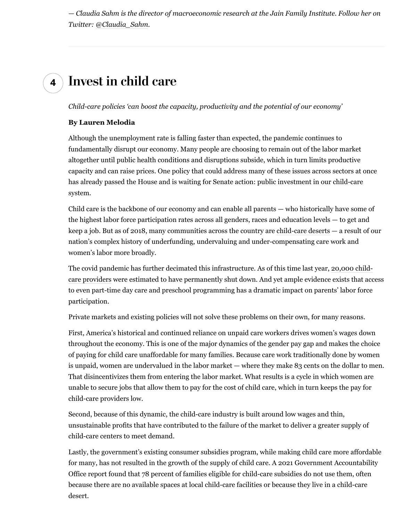*— Claudia Sahm is the director of macroeconomic research at the Jain Family Institute. Follow her on Twitter: [@Claudia\\_Sahm](https://twitter.com/Claudia_Sahm).*

### **4 Invest in child care**

*Child-care policies 'can boost the capacity, productivity and the potential of our economy'*

#### **By Lauren Melodia**

Although the unemployment rate is falling faster than expected, the pandemic continues to fundamentally disrupt our economy. Many people are choosing to remain out of the labor market altogether until public health conditions and disruptions subside, which in turn limits productive capacity and can raise prices. One policy that could address many of these issues across sectors at once has already passed the House and is waiting for Senate action: public investment in our child-care system.

Child care is the backbone of our economy and can enable all parents — who historically have some of the highest labor force participation rates across all genders, races and education levels — to get and keep a job. But as of 2018, many communities across the country are [child-care deserts](https://www.americanprogress.org/article/americas-child-care-deserts-2018/) — a result of our nation's complex history of underfunding, undervaluing and under-compensating care work and women's labor more broadly.

The covid pandemic has further decimated this infrastructure. As of this time last year, [20,000 child](https://www.thelily.com/20000-day-cares-may-have-closed-in-the-pandemic-what-happens-when-parents-go-back-to-work/)[care providers](https://www.thelily.com/20000-day-cares-may-have-closed-in-the-pandemic-what-happens-when-parents-go-back-to-work/) were estimated to have permanently shut down. And yet ample evidence exists that access to even part-time day care and preschool programming has a dramatic impact on parents' labor force participation.

Private markets and existing policies will not solve these problems on their own, for many reasons.

First, America's historical and continued reliance on unpaid care workers drives women's wages down throughout the economy. This is one of the major dynamics of the gender pay gap and makes the choice of paying for child care unaffordable for many families. Because care work traditionally done by women is unpaid, women are undervalued in the labor market — where they make 83 cents on the dollar to men. That disincentivizes them from entering the labor market. What results is a cycle in which women are unable to secure jobs that allow them to pay for the cost of child care, which in turn keeps the pay for child-care providers low.

Second, because of this dynamic, the child-care industry is built around low wages and thin, unsustainable profits that have contributed to the failure of the market to deliver a greater supply of child-care centers to meet demand.

Lastly, the government's existing consumer subsidies program, while making child care more affordable for many, has not resulted in the growth of the supply of child care. A 2021 Government Accountability Office report found that 78 percent of families eligible for child-care subsidies do not use them, often because there are no available spaces at local child-care facilities or because they live in a child-care desert.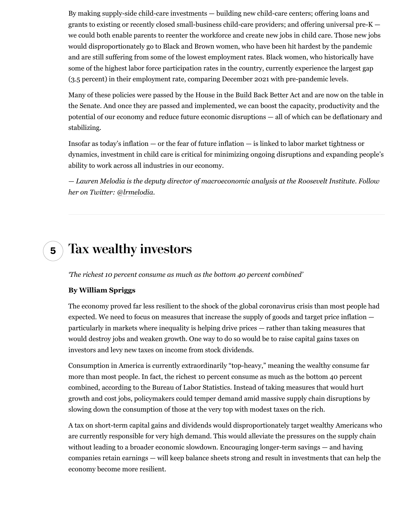By making [supply-side child-care investments](https://rooseveltinstitute.org/wp-content/uploads/2021/07/RI_Childcare_IssueBrief_202108.pdf) — building new child-care centers; offering loans and grants to existing or recently closed small-business child-care providers; and offering universal pre- $K$ we could both enable parents to reenter the workforce and create new jobs in child care. Those new jobs would disproportionately go to Black and Brown women, who have been hit hardest by the pandemic and are still suffering from some of the lowest employment rates. Black women, who historically have some of the highest labor force participation rates in the country, currently experience the largest gap (3.5 percent) in their employment rate, comparing December 2021 with pre-pandemic levels.

Many of these policies were passed by the House in the [Build Back Better Act](https://www.ffyf.org/child-care-and-pre-k-in-the-build-back-better-act-a-look-at-the-legislative-text/) and are now on the table in the Senate. And once they are passed and implemented, we can boost the capacity, productivity and the potential of our economy and reduce future economic disruptions — all of which can be deflationary and stabilizing.

Insofar as today's inflation — or the fear of future inflation — is linked to labor market tightness or dynamics, investment in child care is critical for minimizing ongoing disruptions and expanding people's ability to work across all industries in our economy.

*— Lauren Melodia is the deputy director of macroeconomic analysis at the Roosevelt Institute. Follow her on Twitter: [@lrmelodia.](https://twitter.com/lrmelodia)*

### **5 Tax wealthy investors**

*'The richest 10 percent consume as much as the bottom 40 percent combined'*

#### **By William Spriggs**

The economy proved far less resilient to the shock of the global coronavirus crisis than most people had expected. We need to focus on measures that increase the supply of goods and target price inflation particularly in markets where inequality is helping drive prices — rather than taking measures that would destroy jobs and weaken growth. One way to do so would be to raise capital gains taxes on investors and levy new taxes on income from stock dividends.

Consumption in America is currently extraordinarily "top-heavy," meaning the wealthy consume far more than most people. In fact, the richest 10 percent consume as much as the bottom 40 percent combined, [according to the Bureau of Labor Statistics.](https://www.bls.gov/cex/tables/calendar-year/mean-item-share-average-standard-error/cu-income-deciles-before-taxes-2020.pdf) Instead of taking measures that would hurt growth and cost jobs, policymakers could temper demand amid massive supply chain disruptions by slowing down the consumption of those at the very top with modest taxes on the rich.

A tax on short-term capital gains and dividends would disproportionately target wealthy Americans who are currently responsible for very high demand. This would alleviate the pressures on the supply chain without leading to a broader economic slowdown. Encouraging longer-term savings — and having companies retain earnings — will keep balance sheets strong and result in investments that can help the economy become more resilient.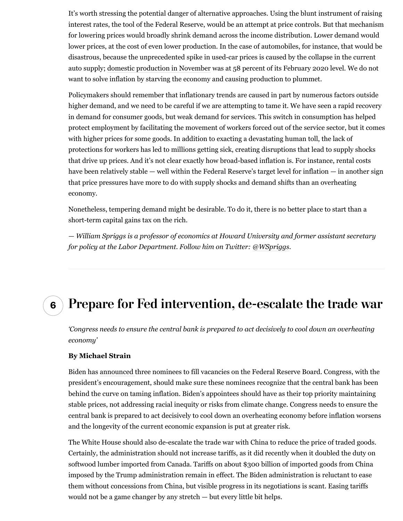It's worth stressing the potential danger of alternative approaches. Using the blunt instrument of raising interest rates, the tool of the Federal Reserve, would be an attempt at price controls. But that mechanism for lowering prices would broadly shrink demand across the income distribution. Lower demand would lower prices, at the cost of even lower production. In the case of automobiles, for instance, that would be disastrous, because the unprecedented spike in used-car prices is caused by the collapse in the current auto supply; [domestic production in November](https://fred.stlouisfed.org/series/DAUPSA) was at 58 percent of its February 2020 level. We do not want to solve inflation by starving the economy and causing production to plummet.

Policymakers should remember that inflationary trends are caused in part by numerous factors outside higher demand, and we need to be careful if we are attempting to tame it. We have seen a rapid recovery in demand for consumer goods, but weak demand for services. This switch in consumption has helped protect employment by facilitating the movement of workers forced out of the service sector, but it comes with higher prices for some goods. In addition to exacting a devastating human toll, the lack of protections for workers has led to millions getting sick, creating disruptions that lead to supply shocks that drive up prices. And it's not clear exactly how broad-based inflation is. For instance, rental costs have been relatively stable — well within the Federal Reserve's target level for inflation — in another sign that price pressures have more to do with supply shocks and demand shifts than an overheating economy.

Nonetheless, tempering demand might be desirable. To do it, there is no better place to start than a short-term capital gains tax on the rich.

*— William Spriggs is a professor of economics at Howard University and former assistant secretary for policy at the Labor Department. Follow him on Twitter: [@WSpriggs.](https://twitter.com/WSpriggs)*

### **6 Prepare for Fed intervention, de-escalate the trade war**

*'Congress needs to ensure the central bank is prepared to act decisively to cool down an overheating economy'*

#### **By Michael Strain**

Biden has [announced](https://www.washingtonpost.com/us-policy/2022/01/17/federal-reserve-biden-diversity/?itid=lk_inline_manual_85) three nominees to fill vacancies on the Federal Reserve Board. Congress, with the president's encouragement, should make sure these nominees recognize that the central bank has been behind the curve on taming inflation. Biden's appointees should have as their top priority maintaining stable prices, not addressing racial inequity or risks from climate change. Congress needs to ensure the central bank is prepared to act decisively to cool down an overheating economy before inflation worsens and the longevity of the current economic expansion is put at greater risk.

The White House should also de-escalate the trade war with China to reduce the price of traded goods. Certainly, the administration should not increase tariffs, as it did recently when it doubled the duty on softwood lumber imported from Canada. Tariffs on about \$300 billion of imported goods from China imposed by the Trump administration remain in effect. The Biden administration is reluctant to ease them without concessions from China, but visible progress in its negotiations is scant. Easing tariffs would not be a game changer by any stretch — but every little bit helps.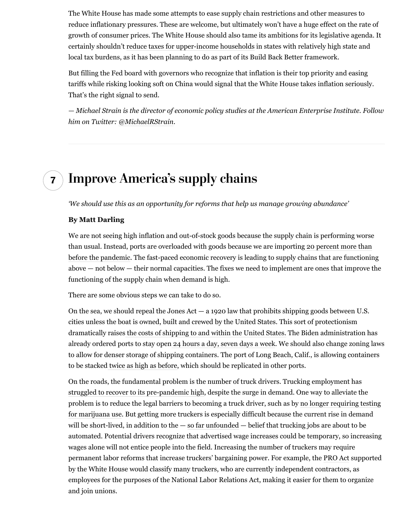The White House has made some attempts to ease supply chain restrictions and other measures to reduce inflationary pressures. These are welcome, but ultimately won't have a huge effect on the rate of growth of consumer prices. The White House should also tame its ambitions for its legislative agenda. It certainly shouldn't [reduce taxes for upper-income households](https://www.washingtonpost.com/business/2021/11/16/second-biggest-program-democrats-budget-gives-billions-rich/?itid=lk_inline_manual_88) in states with relatively high state and local tax burdens, as it has been planning to do as part of its Build Back Better framework.

But filling the Fed board with governors who recognize that inflation is their top priority and easing tariffs while risking looking soft on China would signal that the White House takes inflation seriously. That's the right signal to send.

*— Michael Strain is the director of economic policy studies at the American Enterprise Institute. Follow him on Twitter: [@MichaelRStrain.](https://twitter.com/MichaelRStrain)*

## **7 Improve America's supply chains**

*'We should use this as an opportunity for reforms that help us manage growing abundance'*

#### **By Matt Darling**

We are not seeing high inflation and out-of-stock goods because the supply chain is performing worse than usual. Instead, ports are overloaded with goods because we are importin[g](https://twitter.com/jasonfurman/status/1449042403315236866?ref_src=twsrc%5Etfw%7Ctwcamp%5Etweetembed%7Ctwterm%5E1449042403315236866%7Ctwgr%5E%7Ctwcon%5Es1_&ref_url=https%3A%2F%2Fwww.niskanencenter.org%2Fa-crisis-of-abundance%2F) [20 percent more than](https://twitter.com/jasonfurman/status/1449042403315236866?ref_src=twsrc%5Etfw%7Ctwcamp%5Etweetembed%7Ctwterm%5E1449042403315236866%7Ctwgr%5E%7Ctwcon%5Es1_&ref_url=https%3A%2F%2Fwww.niskanencenter.org%2Fa-crisis-of-abundance%2F) [before the pandemic.](https://twitter.com/jasonfurman/status/1449042403315236866?ref_src=twsrc%5Etfw%7Ctwcamp%5Etweetembed%7Ctwterm%5E1449042403315236866%7Ctwgr%5E%7Ctwcon%5Es1_&ref_url=https%3A%2F%2Fwww.niskanencenter.org%2Fa-crisis-of-abundance%2F) The fast-paced economic recovery is leading to supply chains that are functioning above — not below — their normal capacities. The fixes we need to implement are ones that improve the functioning of the supply chain when demand is high.

There are some obvious steps we can take to do so.

On the sea, we should repeal the Jones  $Act - a$  1920 law that prohibits shipping goods between U.S. cities unless the boat is owned, built and crewed by the United States. This sort of protectionism dramatically raise[s](https://www.cato.org/publications/policy-analysis/jones-act-burden-america-can-no-longer-bear) [the costs of shipping to and within the United States.](https://www.cato.org/publications/policy-analysis/jones-act-burden-america-can-no-longer-bear) The Biden administration has already ordered ports to stay open [24 hours a day, seven days a week](https://laist.com/news/la-and-long-beach-ports-to-operate-24-7). We should also change zoning laws to allow for denser storage of shipping containers. The port of Long Beach, Calif., is allowing containers to be stacked [twice as high as before](https://twitter.com/RobertGarcia/status/1451679404757688320?s=20), which should be replicated in other ports.

On the roads, the fundamental problem is the number of truck drivers. Trucking employment has [struggled to recover to its pre-pandemic high](https://fred.stlouisfed.org/graph/?g=KLJF), despite the surge in demand. One way to alleviate the problem is to reduce the legal barriers to becoming a truck driver, such as by [no longer requiring testing](https://www.businessinsider.com/trucking-truck-driver-marijuana-drug-testing-clearinghouse-2021-7) [for marijuana use](https://www.businessinsider.com/trucking-truck-driver-marijuana-drug-testing-clearinghouse-2021-7). But getting more truckers is especially difficult because the current rise in demand will be short-lived, in addition to the  $-$  [so far unfounded](https://www.bloomberg.com/news/articles/2021-10-26/u-s-may-need-another-1-million-truck-drivers-over-next-decade?cmpid=socialflow-twitter-business&utm_source=twitter&utm_medium=social&utm_content=business&utm_campaign=socialflow-organic)  $-$  belief that trucking jobs are about to be automated. Potential drivers recognize that advertised wage increases could be temporary, so increasing wages alone will not entice people into the field. Increasing the number of truckers may require permanent labor reforms that increase truckers' bargaining power. For example, the [PRO Act](https://www.washingtonpost.com/business/2020/02/06/house-passes-bill-rewrite-labor-laws-strengthen-unions/?itid=lk_inline_manual_100) supported by the White House would classify many truckers, who are currently independent contractors, as employees for the purposes of the National Labor Relations Act, making it easier for them to organize and join unions.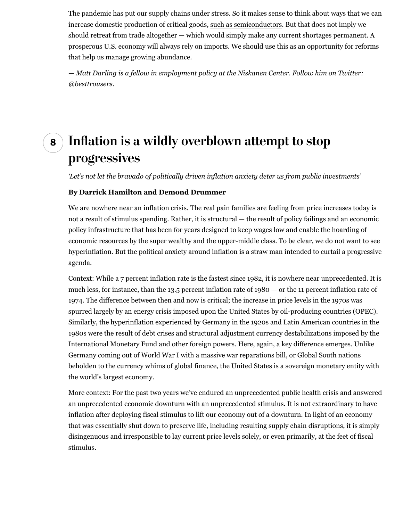The pandemic has put our supply chains under stress. So it makes sense to think about ways that we can increase domestic production of critical goods, [such as semiconductors](https://www.theatlantic.com/science/archive/2021/08/america-into-the-worlds-factory-again-industrial-finance-corporation/619793/). But that does not imply we should retreat from trade altogether — which would simply make any current shortages permanent. A prosperous U.S. economy will always rely on imports. We should use this as an opportunity for reforms that help us manage growing abundance.

*— Matt Darling is a fellow in employment policy at the Niskanen Center. Follow him on Twitter: [@besttrousers.](https://twitter.com/besttrousers)*

## **8 Infation is a wildly overblown attempt to stop progressives**

*'Let's not let the bravado of politically driven inflation anxiety deter us from public investments'*

#### **By Darrick Hamilton and Demond Drummer**

We are nowhere near an inflation crisis. The real pain families are feeling from price increases today is not a result of stimulus spending. Rather, it is structural — the result of policy failings and an economic policy infrastructure that has been for years designed to keep wages low and enable the hoarding of economic resources by the super wealthy and the upper-middle class. To be clear, we do not want to see hyperinflation. But the political anxiety around inflation is a straw man intended to curtail a progressive agenda.

Context: While a 7 percent inflation rate is the fastest since 1982, it is nowhere near unprecedented. It is much less, for instance, than the 13.5 percent inflation rate of 1980 — or the 11 percent inflation rate of 1974. The difference between then and now is critical; the increase in price levels in the 1970s was spurred largely by an energy crisis imposed upon the United States by oil-producing countries (OPEC). Similarly, the hyperinflation experienced by Germany in the 1920s and Latin American countries in the 1980s were the result of debt crises and structural adjustment currency destabilizations imposed by the International Monetary Fund and other foreign powers. Here, again, a key difference emerges. Unlike Germany coming out of World War I with a massive war reparations bill, or Global South nations beholden to the currency whims of global finance, the United States is a sovereign monetary entity with the world's largest economy.

More context: For the past two years we've endured an unprecedented public health crisis and answered an unprecedented economic downturn with an unprecedented stimulus. It is not extraordinary to have inflation after deploying fiscal stimulus to lift our economy out of a downturn. In light of an economy that was essentially shut down to preserve life, including resulting supply chain disruptions, it is simply disingenuous and irresponsible to lay current price levels solely, or even primarily, at the feet of fiscal stimulus.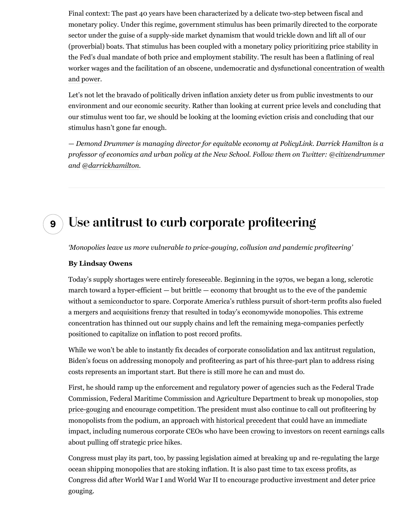Final context: The past 40 years have been characterized by a delicate two-step between fiscal and monetary policy. Under this regime, government stimulus has been primarily directed to the corporate sector under the guise of a supply-side market dynamism that would trickle down and lift all of our (proverbial) boats. That stimulus has been coupled with a monetary policy prioritizing price stability in the Fed's dual mandate of both price and employment stability. The result has been a flatlining of real worker wages and the facilitation of an obscene, undemocratic and dysfunctional [concentration of wealth](https://www.washingtonpost.com/us-policy/2019/02/08/wealth-concentration-returning-levels-last-seen-during-roaring-twenties-according-new-research/?itid=lk_inline_manual_111) [and power](https://www.washingtonpost.com/us-policy/2019/02/08/wealth-concentration-returning-levels-last-seen-during-roaring-twenties-according-new-research/?itid=lk_inline_manual_111).

Let's not let the bravado of politically driven inflation anxiety deter us from public investments to our environment and our economic security. Rather than looking at current price levels and concluding that our stimulus went too far, we should be looking at the looming eviction crisis and concluding that our stimulus hasn't gone far enough.

*— Demond Drummer is managing director for equitable economy at PolicyLink. Darrick Hamilton is a professor of economics and urban policy at the New School. Follow them on Twitter: [@citizendrummer](https://twitter.com/citizendrummer) and [@darrickhamilton](https://twitter.com/darrickhamilton).*

### **9 Use antitrust to curb corporate profteering**

*'Monopolies leave us more vulnerable to price-gouging, collusion and pandemic profiteering'*

#### **By Lindsay Owens**

Today's supply shortages were entirely [foreseeable](https://www.thenation.com/article/archive/how-america-could-collapse/). Beginning in the 1970s, we began a long, sclerotic march toward a hyper-efficient — but brittle — economy that brought us to the eve of the pandemic without a [semiconductor](https://www.bloomberg.com/news/articles/2021-05-28/carmakers-forced-by-chip-crisis-to-rethink-just-in-time-ordering) to spare. Corporate America's ruthless pursuit of short-term profits also fueled a mergers and acquisitions frenzy that resulted in today's economywide monopolies. This extreme concentration has thinned out our supply chains and left the remaining mega-companies perfectly positioned to capitalize on inflation to post record profits.

While we won't be able to instantly fix decades of corporate consolidation and lax antitrust regulation, Biden's focus on addressing monopoly and profiteering as part of his [three-part plan](https://www.whitehouse.gov/briefing-room/speeches-remarks/2022/01/07/remarks-by-president-biden-on-the-december-2021-jobs-report/) to address rising costs represents an important start. But there is still more he can and must do.

First, he should ramp up the enforcement and regulatory power of agencies such as the Federal Trade Commission, Federal Maritime Commission and Agriculture Department to break up monopolies, [stop](http://corporatecrackdown.com/) [price-gouging](http://corporatecrackdown.com/) and encourage competition. The president must also continue to call out profiteering by monopolists from the podium, an approach with [historical precedent](https://www.presidency.ucsb.edu/documents/letter-leaders-the-steel-industry-the-need-for-price-stability) that could have an immediate impact, including numerous corporate CEOs who have been [crowing](https://www.businessinsider.com/big-companies-keep-bragging-to-investors-about-price-hikes-2021-11) to investors on recent earnings calls about pulling off strategic price hikes.

Congress must play its part, too, by passing legislation aimed at [breaking up](https://prospect.org/economy/inflation-fighting-bill-you-dont-know-about/) and re-regulating the large ocean shipping monopolies that are [stoking](https://www.bloomberg.com/news/features/2022-01-18/supply-chain-crisis-helped-shipping-companies-reap-150-billion-in-2021?sref=azsh6QkL) inflation. It is also past time to [tax excess profits,](https://www.marketwatch.com/story/tax-excess-profits-of-big-money-making-companies-to-fix-coronavirus-economy-scholar-urges-2020-04-30) as Congress did after World War I and World War II to encourage productive investment and deter price gouging.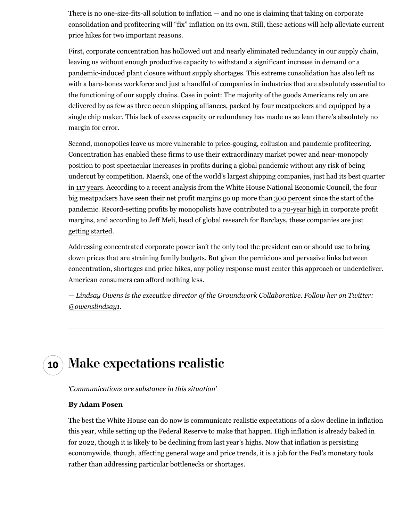There is no one-size-fits-all solution to inflation — and no one is claiming that taking on corporate consolidation and profiteering will "fix" inflation on its own. Still, these actions will help alleviate current price hikes for two important reasons.

First, corporate concentration has hollowed out and nearly eliminated redundancy in our supply chain, leaving us without enough productive capacity to withstand a significant increase in demand or a [pandemic-induced plant closure](https://asia.nikkei.com/Business/Tech/Semiconductors/Taiwan-chip-supplier-halts-production-due-to-COVID-cluster) without supply shortages. This extreme consolidation has also left us with a [bare-bones workforce](https://www.washingtonpost.com/outlook/2021/10/21/corporate-mergers-layoffs-antitust/?itid=lk_inline_manual_124) and just a handful of companies in industries that are absolutely essential to the functioning of our supply chains. Case in point: The majority of the goods Americans rely on are delivered by as few as three ocean shipping alliances, packed by four meatpackers and equipped by [a](https://www.wsj.com/articles/the-world-relies-on-one-chip-maker-in-taiwan-leaving-everyone-vulnerable-11624075400) [single](https://www.wsj.com/articles/the-world-relies-on-one-chip-maker-in-taiwan-leaving-everyone-vulnerable-11624075400) chip maker. This lack of excess capacity or redundancy has made us so lean there's absolutel[y no](https://www.theguardian.com/commentisfree/2021/oct/01/america-supply-chain-shortages) [margin for error.](https://www.theguardian.com/commentisfree/2021/oct/01/america-supply-chain-shortages)

Second, monopolies leave us more vulnerable to price-gouging, collusion and pandemic profiteering. Concentration has enabled these firms to use their extraordinary market power and near-monopoly position to post spectacular increases in profits during a global pandemic without any risk of being undercut by competition. Maersk, one of the world's largest shipping companies, just had its best quarter i[n 117 years](https://www.forbes.com/sites/loracecere/2021/11/15/record-ocean-profits-will-not-help-united-states-supply-chains/). According to a recent analysis from the White House National Economic Council, the four big meatpackers have seen their net profit margins go up more tha[n 300 percent](https://www.whitehouse.gov/briefing-room/blog/2021/12/10/recent-data-show-dominant-meat-processing-companies-are-taking-advantage-of-market-power-to-raise-prices-and-grow-profit-margins/) since the start of the pandemic. Record-setting profits by monopolists have contributed to [a 70-year high](https://fred.stlouisfed.org/series/NFCPATAX) in corporate profit margins, and according to Jeff Meli, head of global research for Barclays, these companies [are just](https://www.bloomberg.com/news/articles/2022-01-14/inflation-risks-getting-sticky-as-big-firms-flex-pricing-power) [getting started.](https://www.bloomberg.com/news/articles/2022-01-14/inflation-risks-getting-sticky-as-big-firms-flex-pricing-power)

Addressing concentrated corporate power isn't the only tool the president can or should use to bring down prices that are straining family budgets. But given the pernicious and pervasive links between concentration, shortages and price hikes, any policy response must center this approach or underdeliver. American consumers can afford nothing less.

*— Lindsay Owens is the executive director of the Groundwork Collaborative. Follow her on Twitter: [@owenslindsay1](https://twitter.com/owenslindsay1).*

### **10 Make expectations realistic**

*'Communications are substance in this situation'*

#### **By Adam Posen**

The best the White House can do now is communicate realistic expectations of a slow decline in inflation this year, while setting up the Federal Reserve to make that happen. High inflation is already baked in for 2022, though it is likely to be declining from last year's highs. Now that inflation is persisting economywide, though, affecting general wage and price trends, it is a job for the Fed's monetary tools rather than addressing particular bottlenecks or shortages.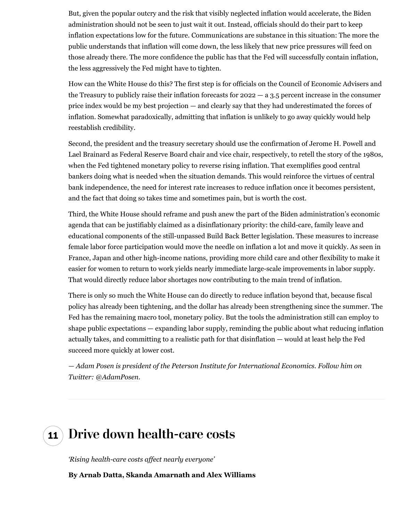But, given the popular outcry and the risk that visibly neglected inflation would accelerate, the Biden administration should not be seen to just wait it out. Instead, officials should do their part to keep inflation expectations low for the future. Communications are substance in this situation: The more the public understands that inflation will come down, the less likely that new price pressures will feed on those already there. The more confidence the public has that the Fed will successfully contain inflation, the less aggressively the Fed might have to tighten.

How can the White House do this? The first step is for officials on the Council of Economic Advisers and the Treasury to publicly raise their inflation forecasts for  $2022 - a$  3.5 percent increase in the consumer price index would be my best projection — and clearly say that they had underestimated the forces of inflation. Somewhat paradoxically, admitting that inflation is unlikely to go away quickly would help reestablish credibility.

Second, the president and the treasury secretary should use the confirmation of Jerome H. Powell and Lael Brainard as Federal Reserve Board chair and vice chair, respectively, to retell the story of the 1980s, when the Fed tightened monetary policy to reverse rising inflation. That exemplifies good central bankers doing what is needed when the situation demands. This would reinforce the virtues of central bank independence, the need for interest rate increases to reduce inflation once it becomes persistent, and the fact that doing so takes time and sometimes pain, but is worth the cost.

Third, the White House should reframe and push anew the part of the Biden administration's economic agenda that can be justifiably claimed as a disinflationary priority: the child-care, family leave and educational components of the still-unpassed Build Back Better legislation. These measures to increase female labor force participation would move the needle on inflation a lot and move it quickly. As seen in France, Japan and other high-income nations, providing more child care and other flexibility to make it easier for women to return to work yields nearly immediate large-scale improvements in labor supply. That would directly reduce labor shortages now contributing to the main trend of inflation.

There is only so much the White House can do directly to reduce inflation beyond that, because fiscal policy has already been tightening, and the dollar has already been strengthening since the summer. The Fed has the remaining macro tool, monetary policy. But the tools the administration still can employ to shape public expectations — expanding labor supply, reminding the public about what reducing inflation actually takes, and committing to a realistic path for that disinflation — would at least help the Fed succeed more quickly at lower cost.

*— Adam Posen is president of the Peterson Institute for International Economics. Follow him on Twitter: [@AdamPosen.](https://twitter.com/AdamPosen)*

# **11 Drive down health-care costs**

*'Rising health-care costs affect nearly everyone'*

**By Arnab Datta, Skanda Amarnath and Alex Williams**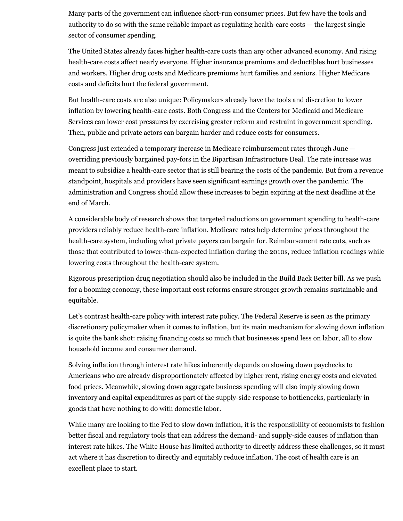Many parts of the government can influence short-run consumer prices. But few have the tools and authority to do so with the same reliable impact as regulating health-care costs — the largest single sector of consumer spending.

The United States already faces higher health-care costs than any other advanced economy. And rising health-care costs affect nearly everyone. Higher insurance premiums and deductibles hurt businesses and workers. Higher drug costs and Medicare premiums hurt families and seniors. Higher Medicare costs and deficits hurt the federal government.

But health-care costs are also unique: Policymakers already have the tools and discretion to lower inflation by lowering health-care costs. Both Congress and the Centers for Medicaid and Medicare Services can lower cost pressures by exercising greater reform and restraint in government spending. Then, public and private actors can bargain harder and reduce costs for consumers.

Congress just extended a temporary increase in Medicare reimbursement rates through June overriding previously bargained pay-fors in the Bipartisan Infrastructure Deal. The rate increase was meant to subsidize a health-care sector that is still bearing the costs of the pandemic. But from a revenue standpoint, hospitals and providers have seen significant earnings growth over the pandemic. The administration and Congress should allow these increases to begin expiring at the next deadline at the end of March.

A considerable body of research shows that targeted reductions on government spending to health-care providers reliably reduce health-care inflation. Medicare rates help determine prices throughout the health-care system, including what private payers can bargain for. Reimbursement rate cuts, such as those that contributed to lower-than-expected inflation during the 2010s, reduce inflation readings while lowering costs throughout the health-care system.

Rigorous prescription drug negotiation should also be included in the Build Back Better bill. As we push for a booming economy, these important cost reforms ensure stronger growth remains sustainable and equitable.

Let's contrast health-care policy with interest rate policy. The Federal Reserve is seen as the primary discretionary policymaker when it comes to inflation, but its main mechanism for slowing down inflation is quite the bank shot: raising financing costs so much that businesses spend less on labor, all to slow household income and consumer demand.

Solving inflation through interest rate hikes inherently depends on slowing down paychecks to Americans who are already disproportionately affected by higher rent, rising energy costs and elevated food prices. Meanwhile, slowing down aggregate business spending will also imply slowing down inventory and capital expenditures as part of the supply-side response to bottlenecks, particularly in goods that have nothing to do with domestic labor.

While many are looking to the Fed to slow down inflation, it is the responsibility of economists to fashion better fiscal and regulatory tools that can address the demand- and supply-side causes of inflation than interest rate hikes. The White House has limited authority to directly address these challenges, so it must act where it has discretion to directly and equitably reduce inflation. The cost of health care is an excellent place to start.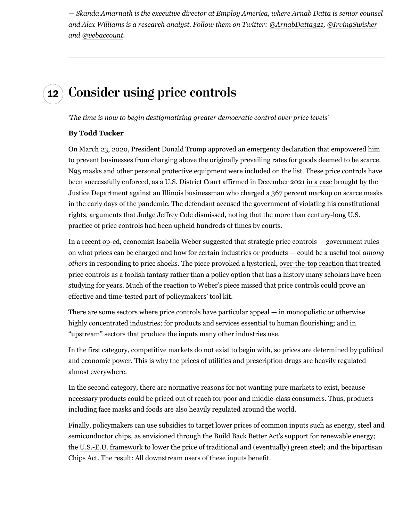*— Skanda Amarnath is the executive director at Employ America, where Arnab Datta is senior counsel and Alex Williams is a research analyst. Follow them on Twitter: [@ArnabDatta321](https://twitter.com/ArnabDatta321), [@IrvingSwisher](https://twitter.com/IrvingSwisher) and [@vebaccount](https://twitter.com/vebaccount).*

## **12 Consider using price controls**

*'The time is now to begin destigmatizing greater democratic control over price levels'*

#### **By Todd Tucker**

On March 23, 2020, President Donald Trump approved an emergency declaration that empowered him to prevent businesses from charging above the originally prevailing rates for goods deemed to be scarce. N95 masks and other personal protective equipment were included on the list. These price controls have been successfully enforced, as a U.S. District Court affirmed in December 2021 [in a case](https://www.govinfo.gov/content/pkg/USCOURTS-ilnd-1_20-cr-00721/pdf/USCOURTS-ilnd-1_20-cr-00721-0.pdf) brought by the Justice Department against an Illinois businessman who charged a 367 percent markup on scarce masks in the early days of the pandemic. The defendant accused the government of violating his constitutional rights, arguments that Judge Jeffrey Cole dismissed, noting that the more than century-long U.S. practice of price controls had been upheld hundreds of times by courts.

In a [recent op-ed,](https://www.theguardian.com/business/commentisfree/2021/dec/29/inflation-price-controls-time-we-use-it) economist Isabella Weber suggested that strategic price controls — government rules on what prices can be charged and how for certain industries or products — could be a useful tool *among others* in responding to price shocks. The piece provoked a hysterical, [over-the-top reaction](https://adamtooze.substack.com/p/top-links-65-inflation-and-price) that treated price controls as a foolish fantasy rather than a policy option that has a history many scholars have been studying for years. Much of the reaction to Weber's piece missed that price controls could prove an effective and time-tested part of policymakers' tool kit.

There are some sectors where price controls have particular appeal — in monopolistic or otherwise highly concentrated industries; for products and services essential to human flourishing; and in "upstream" sectors that produce the inputs many other industries use.

In the first category, competitive markets do not exist to begin with, so prices are determined by political and economic power. This is why the prices of utilities and prescription drugs are heavily regulated almost everywhere.

In the second category, there are normative reasons for not wanting pure markets to exist, because necessary products could be priced out of reach for poor and middle-class consumers. Thus, products including face masks and foods are also heavily regulated around the world.

Finally, policymakers can use subsidies to target lower prices of common inputs such as energy, steel and semiconductor chips, as envisioned through the [Build Back Better Act's support for renewable](https://www.washingtonpost.com/climate-environment/2021/10/28/climate-biden-build-back-better/?itid=lk_inline_manual_167) energy; the [U.S.-E.U. framework](https://www.washingtonpost.com/politics/2021/10/31/eu-us-steel-deal-could-transform-fight-against-climate-change/?itid=lk_inline_manual_167) to lower the price of traditional and (eventually) green steel; and the bipartisan [Chips Act.](https://www.washingtonpost.com/video/washington-post-live/wplive/president-bidens-chips-act-meant-to-build-more-manufacturing-in-us-says-secretary-raimondo/2021/10/20/f93c3a0c-7583-4f7b-b881-da7114286aa3_video.html?itid=lk_inline_manual_167) The result: All downstream users of these inputs benefit.